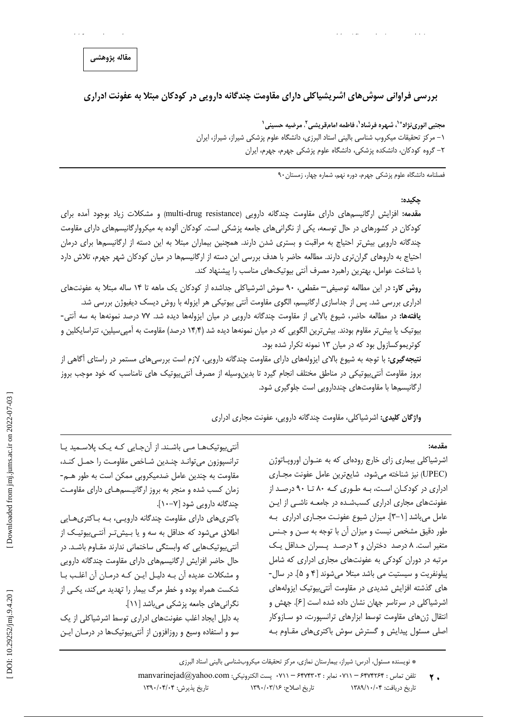## مقاله پژوهشی

بررسی فراوانی سوش۵های اشریشیاکلی دارای مقاومت چندگانه دارویی در کودکان مبتلا به عفونت ادراری

مجتبي انورينژاد®`، شبهره فرشاد`، فاطمه امامقریشي ً، مرضیه حسینی ` ۱– مرکز تحقیقات میکروب شناسی بالینی استاد البرزی، دانشگاه علوم پزشکی شیراز، شیراز، ایران ۲– گروه کودکان، دانشکده پزشکی، دانشگاه علوم پزشکی جهرم، جهرم، ایران

فصلنامه دانشگاه علوم یزشکی جهرم، دوره نهم، شماره جهار، زمستان۹۰

#### جكىدە:

مقدمه: افزایش ارگانیسمهای دارای مقاومت چندگانه دارویی (multi-drug resistance) و مشکلات زیاد بوجود آمده برای کودکان در کشورهای در حال توسعه، یکی از نگرانیهای جامعه پزشکی است. کودکان آلوده به میکروارگانیسمهای دارای مقاومت چندگانه دارویی بیش تر احتیاج به مراقبت و بستری شدن دارند. همچنین بیماران مبتلا به این دسته از ارگانیسمها برای درمان احتیاج به داروهای گران تری دارند. مطالعه حاضر با هدف بررسی این دسته از ارگانیسمها در میان کودکان شهر جهرم، تلاش دارد با شناخت عوامل، بهترين راهبرد مصرف أنتى بيوتيكهاى مناسب را پيشنهاد كند.

روش کار: در این مطالعه توصیفی— مقطعی، ۹۰ سوش اشرشیاکلی جداشده از کودکان یک ماهه تا ۱۴ ساله مبتلا به عفونتهای ادراری بررسی شد. پس از جداسازی ارگانیسم، الگوی مقاومت آنتی بیوتیکی هر ایزوله با روش دیسک دیفیوژن بررسی شد. **یافتهها:** در مطالعه حاضر، شیوع بالایی از مقاومت چندگانه دارویی در میان ایزولهها دیده شد. ۷۷ درصد نمونهها به سه آنتی-بیوتیک یا بیش تر مقاوم بودند. بیش ترین الگویی که در میان نمونهها دیده شد (۱۴٫۴ درصد) مقاومت به آمپی سیلین، تتراسایکلین و کوتریموکسازول بود که در میان ۱۳ نمونه تکرار شده بود.

**نتیجه گیری:** با توجه به شیوع بالای ایزولههای دارای مقاومت چندگانه دارویی، لازم است بررسیهای مستمر در راستای أگاهی از بروز مقاومت آنتی بیوتیکی در مناطق مختلف انجام گیرد تا بدینeسیله از مصرف آنتی بیوتیک های نامناسب که خود موجب بروز ارگانیسمها با مقاومتهای چنددارویی است جلوگیری شود.

واژگان **کلیدی:** اشرشیاکلی، مقاومت چندگانه دارویی، عفونت مجاری ادراری

مقدمه:

اشرشیاکلی بیماری زای خارج رودهای که به عنـوان اوروپـاتوژن (UPEC) نیز شناخته میشود، شایعترین عامل عفونت مجـاری ادراری در کودکان است، به طوری کـه ۸۰ تا ۹۰ درصـد از عفونتهای مجاری ادراری کسبشده در جامعه ناشی از این عامل می باشد [ ٦-٣]. میزان شیوع عفونت مجـاری ادراری بـه طور دقیق مشخص نیست و میزان آن با توجه به سـن و جـنس متغیر است. ٨ درصد دختران و ٢ درصد پسران حداقل يک مرتبه در دوران کودکی به عفونتهای مجاری ادراری که شامل پیلونفریت و سیستیت می باشد مبتلا میشوند [۴ و ۵]. در سال-های گذشته افزایش شدیدی در مقاومت آنتی بیوتیک ایزولههای اشرشیاکلی در سرتاسر جهان نشان داده شده است [۶]. جهش و انتقال ژنهای مقاومت توسط ابزارهای ترانسپورت، دو سـازوکار اصلی مسئول پیدایش و گسترش سوش باکتریهای مقـاوم بـه

آنتی بیوتیکھـا مـی باشـند. از آنجـایی کـه یـک پلاسـمید یـا ترانسپوزون می توانـد چنـدین شـاخص مقاومـت را حمـل کنـد، مقاومت به چندین عامل ضدمیکروبی ممکن است به طور هـم-زمان کسب شده و منجر به بروز ارگانیـسمهـای دارای مقاومـت چندگانه دارویی شود [۷-۱۰]. باکتریهای دارای مقاومت چندگانه دارویی، بـه بـاکتریهـایی

اطلاق میشود که حداقل به سه و یا بیش تر آنتهییوتیک از آنتے ہیوتیکھایی که وابستگی ساختمانی ندارند مقـاوم باشـد. در حال حاضر افزایش ارگانیسمهای دارای مقاومت چندگانه دارویی و مشکلات عدیده آن بـه دلیـل ایـن کـه درمـان آن اغلـب بـا شکست همراه بوده و خطر مرگ بیمار را تهدید می کند، یکـی از نگرانی های جامعه پزشکی می باشد [۱۱].

به دلیل ایجاد اغلب عفونتهای ادراری توسط اشرشیاکلی از یک سو و استفاده وسیع و روزافزون از آنتیبیوتیکها در درمـان ایـن

<sup>\*</sup> نويسنده مسئول، آدرس: شيراز، بيمارستان نمازى، مركز تحقيقات ميكروبشناسي باليني استاد البرزى

 $\text{manvarine}$ jad $\textcircled{a}$ yahoo.com : پست الكترونيكي: ٧١١ - ۶۴۷۴۳۰۳ - ۷۱۱ . تلفن تماس: ۶۴۷۴۲۶۴ - ۷۱۱  $\mathbf{Y}$ . تاريخ اصلاح: ۱۳۹۰/۰۳/۱۶ تاریخ پذیرش: ۱۳۹۰/۰۴/۰۴ تاریخ دریافت: ۱۳۸۹/۱۰/۰۴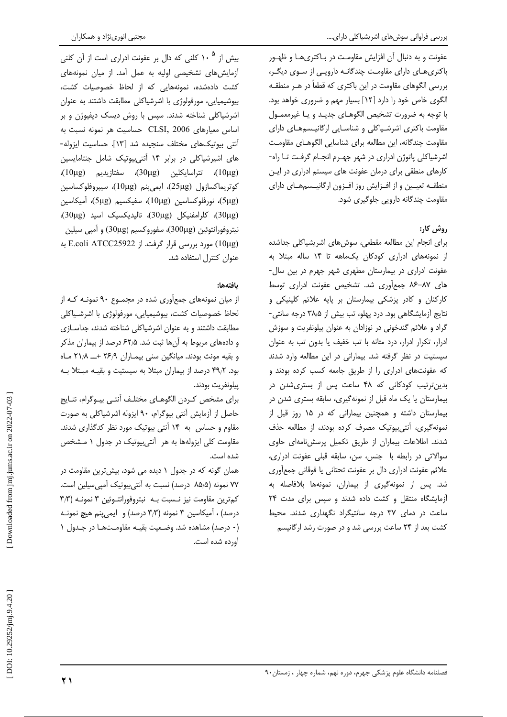بررسی فراوانی سوشهای اشریشیاکلی دارای....

عفونت و به دنبال آن افزایش مقاومت در بـاکتریهـا و ظهـور باکتری های دارای مقاومت چندگانـه دارویـی از سـوی دیگـر، بررسی الگوهای مقاومت در این باکتری که قطعاً در هــر منطقــه الگوی خاص خود را دارد [۱۲] بسیار مهم و ضروری خواهد بود. با توجه به ضرورت تشخيص الگوهـاي جديـد و يـا غيرمعمـول مقاومت باکتری اشرشیاکلی و شناسایی ارگانیسمهای دارای مقاومت چندگانه، این مطالعه برای شناسایی الگوهـای مقاومـت اشرشیاکلی پاتوژن ادراری در شهر جهـرم انجـام گرفـت تـا راه-کارهای منطقی برای درمان عفونت های سیستم ادراری در این منطقـه تعيـين واز افـزايش روز افـزون اركانيـسمهـاي داراي مقاومت چندگانه دارویی جلوگیری شود.

# ,وش کا,:

برای انجام این مطالعه مقطعی، سوشهای اشریشیاکلی جداشده از نمونههای ادراری کودکان یک ماهه تا ۱۴ ساله مبتلا به عفونت ادراری در بیمارستان مطهری شهر جهرم در بین سال-های ۸۷–۸۶ جمع آوری شد. تشخیص عفونت ادراری توسط کارکنان و کادر پزشکی بیمارستان بر پایه علائم کلینیکی و نتایج آزمایشگاهی بود. درد یهلو، تب بیش از ۳۸٫۵ درجه سانتی-گراد و علائم گندخونی در نوزادان به عنوان پیلونفریت و سوزش ادرار، تكرار ادرار، درد مثانه با تب خفيف يا بدون تب به عنوان سیستیت در نظر گرفته شد. بیمارانی در این مطالعه وارد شدند که عفونتهای ادراری را از طریق جامعه کسب کرده بودند و بدین ترتیب کودکانی که ۴۸ ساعت پس از بستری شدن در بیمارستان یا یک ماه قبل از نمونهگیری، سابقه بستری شدن در بیمارستان داشته و همچنین بیمارانی که در ۱۵ روز قبل از نمونه گیری، آنتی بیوتیک مصرف کرده بودند، از مطالعه حذف شدند. اطلاعات بیماران از طریق تکمیل پرسش نامهای حاوی سوالاتی در رابطه با جنس، سن، سابقه قبلی عفونت ادراری، علائم عفونت ادراري دال بر عفونت تحتاني يا فوقاني جمع آوري شد. پس از نمونهگیری از بیماران، نمونهها بلافاصله به آزمایشگاه منتقل و کشت داده شدند و سپس برای مدت ٢۴ ساعت در دمای ۳۷ درجه سانتیگراد نگهداری شدند. محیط کشت بعد از ۲۴ ساعت بررسی شد و در صورت رشد ارگانیسم

بیش از ۱۰<sup>۵</sup> کلنی که دال بر عفونت ادراری است از آن کلنی آزمایش های تشخیصی اولیه به عمل آمد. از میان نمونههای کشت دادهشده، نمونههایی که از لحاظ خصوصیات کشت، بیوشیمیایی، مورفولوژی با اشرشیاکلی مطابقت داشتند به عنوان اشرشیاکلی شناخته شدند. سپس با روش دیسک دیفیوژن و بر اساس معيارهاي CLSI, 2006 حساسيت هر نمونه نسبت به آنتی بیوتیکهای مختلف سنجیده شد [۱۳]. حساسیت ایزوله-های اشیرشیاکلی در برابر ۱۴ آنتی بیوتیک شامل جنتامایسین (10μg)، تتراسايكلين (30μg)، سفتازيديم (10μg)، كوتريماكسازول (25μg)، ايمي ينم (10μg)، سيپروفلوكساسين (5μg)، نورفلوكساسين (10μg)، سفيكسيم (5μg)، آميكاسين (30μg)، كلرامفنيكل (30μg)، ناليديكسيك اسيد (30μg)، نيتروفورانتوئين (300μg)، سفوروكسيم (30μg) و آميي سيلين (10μg) مورد بررسي قرار گرفت. از E.coli ATCC25922 به عنوان كنترل استفاده شد.

## بافتهها:

از میان نمونههای جمعآوری شده در مجموع ۹۰ نمونـه کـه از لحاظ خصوصیات کشت، بیوشیمیایی، مورفولوژی با اشرشـیاکلی مطابقت داشتند و به عنوان اشرشیاکلی شناخته شدند، جداسـازی و دادههای مربوط به آنها ثبت شد. ۶۲٫۵ درصد از بیماران مذکر و بقیه مونث بودند. میانگین سنی بیمـاران ۲۶٫۹ +\_ ۲۱٫۸ مـاه بود. ۴۹٫۲ درصد از بیماران مبتلا به سیستیت و بقیـه مبـتلا بـه ييلونفريت بودند.

براي مشخص كردن الگوهـاي مختلـف أنتـي بيـوگرام، نتـايج حاصل از آزمایش آنتی بیوگرام، ۹۰ ایزوله اشرشیاکلی به صورت مقاوم و حساس به ۱۴ آنتی بیوتیک مورد نظر کدگذاری شدند. مقاومت کلی ایزولهها به هر آنتی بیوتیک در جدول ۱ مشخص شده است.

همان گونه که در جدول ۱ دیده می شود، بیش ترین مقاومت در ۷۷ نمونه (۸۵٫۵ درصد) نسبت به آنتی بیوتیک آمیی سیلین است. کمترین مقاومت نیز نـسبت بـه نبتروفورانتـوئین ۳ نمونـه (۳٫۳ درصد) ، آمیکاسین ۳ نمونه (۳٫۳ درصد) و ایمی پنم هیچ نمونـه (٠ درصد) مشاهده شد. وضعیت بقیـه مقاومـتهـا در جـدول ١ آورده شده است.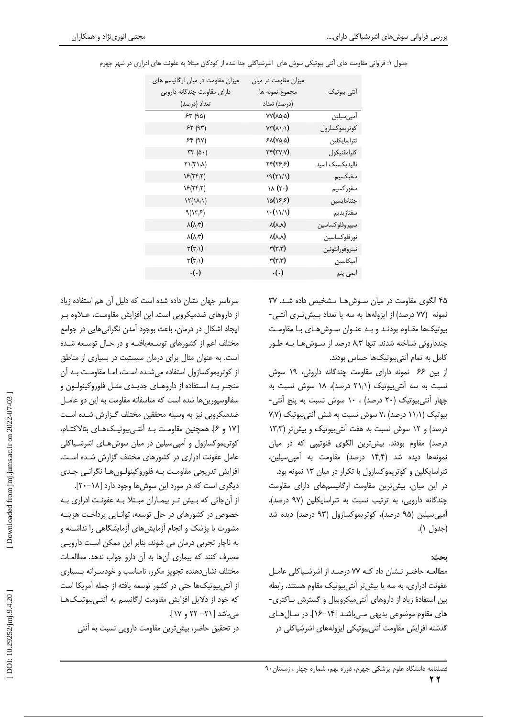| میزان مقاومت در میان ارگانیسم های<br>دارای مقاومت چندگانه دارویی | میزان مقاومت در میان<br>مجموع نمونه ها                 | آنتى بيوتيك     |
|------------------------------------------------------------------|--------------------------------------------------------|-----------------|
| تعداد (درصد)                                                     | (درصد) تعداد                                           |                 |
| 54 (90)                                                          | $VV(A\Delta/\Delta)$                                   | أمپىسيلين       |
| 57(97)                                                           | $VT(\Lambda \setminus \Lambda)$                        | كوتريموكسازول   |
| 54 (90)                                                          | $P\Lambda(Y\Delta/\Delta)$                             | تتراسايكلين     |
| $rr(\Delta)$                                                     | $\mathsf{r}\mathsf{r}(\mathsf{r}\mathsf{v}\mathsf{y})$ | كلرامفنيكول     |
| $\Gamma(\Upsilon \setminus A)$                                   | ٢۴(۲۶٫۶)                                               | نالیدیکسیک اسید |
| $\Sigma(Y^{\epsilon},Y)$                                         | (۱/۱۲) ۱۹                                              | سفيكسيم         |
| $\Sigma(Y^*Y)$                                                   | $\lambda(\tau)$                                        | سفور كسيم       |
| $\mathcal{N}(\lambda/\lambda)$                                   | (۱۶٫۶)                                                 | جنتامايسين      |
| 9(Y,5)                                                           |                                                        | سفتازيديم       |
| $\lambda(\lambda,\tau)$                                          | $\lambda(\lambda/\lambda)$                             | سيپروفلو كساسين |
| $\lambda(\lambda,\tau)$                                          | $\lambda(\lambda/\lambda)$                             | نورفلوكساسين    |
| $\mathbf{r}(\mathbf{r}_{i})$                                     | $\mathbf{r}(\mathbf{r},\mathbf{r})$                    | نيتروفورانتوئين |
| $\mathbf{r}(\mathbf{r}_{i})$                                     | $\mathbf{r}(\mathbf{r},\mathbf{r})$                    | أميكاسين        |
| $\cdot(\cdot)$                                                   | $\cdot(\cdot)$                                         | ایمی پنم        |

.<br>جدول ۱: فراوانی مقاومت های آنتی پیوتیکی سوش های اشرشیاکلی جدا شده از کودکان مبتلا به عفونت های ادراری در شهر جهرم

۴۵ الگوی مقاومت در میان سوشها تـشخیص داده شـد. ۳۷ نمونه (٧٧ درصد) از ایزولهها به سه یا تعداد بیش تری آنتبی-بیوتیکها مقـاوم بودنـد و بـه عنـوان سـوشهـای بـا مقاومـت چندداروئی شناخته شدند. تنها ۸٫۳ درصد از سـوشهـا بـه طـور كامل به تمام آنتي بيوتيكها حساس بودند.

از بین ۶۶ نمونه دارای مقاومت چندگانه داروئی، ۱۹ سوش نسبت به سه آنتیبیوتیک (۲۱٫۱ درصد)، ۱۸ سوش نسبت به چهار آنتی بیوتیک (۲۰ درصد) ، ۱۰ سوش نسبت به پنج آنتی-بیوتیک (۱۱/۱ درصد) ،۷ سوش نسبت به شش آنتی بیوتیک (۷/۷ درصد) و ١٢ سوش نسبت به هفت آنتى بيوتيک و بيش تر (١٣/٣ درصد) مقاوم بودند. بیشترین الگوی فنوتیپی که در میان نمونهها ديده شد (۱۴٫۴ درصد) مقاومت به آميي سيلين، تتراسایکلین و کوتریموکسازول با تکرار در میان ۱۳ نمونه بود. در این میان، بیشترین مقاومت ارگانیسمهای دارای مقاومت چندگانه دارویی، به ترتیب نسبت به تتراسایکلین (۹۷ درصد)، آمیے سیلین (۹۵ درصد)، کوتریموکسازول (۹۳ درصد) دیده شد (جدول ۱).

### يحث:

مطالعـه حاضـر نـشان داد كـه ٧٧ درصـد از اشرشـياكلى عامـل عفونت ادراری، به سه یا بیش تر آنتی بیوتیک مقاوم هستند. رابطه بین استفادهٔ زیاد از داروهای آنتی میکروبیال و گسترش بـاکتری-های مقاوم موضوعی بدیهی می باشد [۱۴-۱۶]. در سال های گذشته افزایش مقاومت آنتی بیوتیکی ایزولههای اشرشیاکلی در

سرتاسر جهان نشان داده شده است که دلیل آن هم استفاده زیاد از داروهای ضدمیکروبی است. این افزایش مقاومت، عــلاوه بــر ایجاد اشکال در درمان، باعث بوجود آمدن نگرانی هایی در جوامع مختلف اعم از کشورهای توسعه یافتـه و در حـال توسـعه شـده است. به عنوان مثال برای درمان سیستیت در بسیاری از مناطق از کوتریموکسازول استفاده می شـده اسـت، امـا مقاومـت بـه آن منجـر بـه اسـتفاده از داروهـاى جديـدى مثـل فلوروكينولـون و سفالوسیورین ها شده است که متاسفانه مقاومت به این دو عامـل ضدمیکروبی نیز به وسیله محققین مختلف گـزارش شـده اسـت [١٧ و ٤]. همچنین مقاومت بـه آنتـی بیوتیـکهـای بتالاکتـام، کوتریموکسازول و آمپی سیلین در میان سوش هـای اشرشـیاکلی عامل عفونت ادراری در کشورهای مختلف گزارش شده است. افزايش تدريجي مقاومت بـه فلوروكينولـون هـا نگرانـي جـدي دیگری است که در مورد این سوشها وجود دارد [۱۸–۲۰].

از آن جائی که بیش تـر بیمـاران مبـتلا بـه عفونـت ادراری بـه خصوص در کشورهای در حال توسعه، توانایی پرداخت هزینـه مشورت با پزشک و انجام آزمایش های آزمایشگاهی را نداشـته و به ناچار تجربی درمان می شوند، بنابر این ممکن است دارویی مصرف كنند كه بيماري آنها به آن دارو جواب ندهد. مطالعـات مختلف نشان دهنده تجويز مكرر، نامناسب و خودسـرانه بـسيارى از آنتی بیوتیکها حتی در کشور توسعه یافته از جمله آمریکا است که خود از دلایل افزایش مقاومت ارگانیسم به آنتـی،یوتیـکهـا می باشد [ ۲۱– ۲۲ و ۱۷].

در تحقیق حاضر، بیش ترین مقاومت دارویی نسبت به آنتی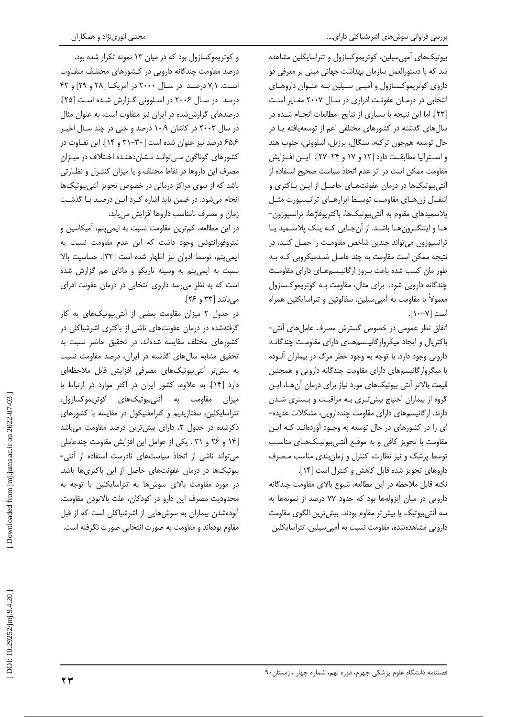بیوتیکهای آمپی سیلین، کوتریموکسازول و تتراسایکلین مشاهده شد که با دستورالعمل سازمان بهداشت جهانی مبنی بر معرفی دو داروی کوتریموکسازول و آمپے سیلین بـه عنـوان داروهـای انتخابی در درمـان عفونـت ادراری در سـال ۲۰۰۷ مغـایر اسـت [٢٣]. اما این نتیجه با بسیاری از نتایج مطالعات انجام شده در سالهای گذشته در کشورهای مختلفی اعم از توسعهیافته یـا در حال توسعه همچون ترکیه، سنگال، برزیل، اسلوونی، جنوب هند و استراليا مطابقت دارد [١٢ و ١٧ و ٢۴-٢٧]. ايـن افـزايش مقاومت ممكن است در اثر عدم اتخاذ سياست صحيح استفاده از آنتی بیوتیکها در درمان عفونتهـای حاصـل از ایـن بـاکتری و انتقـال ژنهـاى مقاومـت توسـط ابزارهـاى ترانـسپورت مثـل پلاسمیدهای مقاوم به آنتیبیوتیکها، باکتریوفاژها، ترانسپوزون-هـا و اینتگـرونهـا باشـد. از آنجـایی کـه یـک پلاسـمید یـا ترانسپوزون می تواند چندین شاخص مقاومت را حمـل کنـد، در نتیجه ممکن است مقاومت به چند عامـل ضـدمیکروبی کـه بـه طور مان كسب شده باعث بروز اركانيسم هاى داراى مقاومت چندگانه دارویی شود. برای مثال، مقاومت بـه کوتریموکسازول معمولاً با مقاومت به آمیی سیلین، سفالوتین و تتراسایکلین همراه است [٧-١٠].

اتفاق نظر عمومی در خصوص گسترش مصرف عاملهای آنتی-باكتريال و ايجاد ميكروارگانيسم هاى داراى مقاومت چندگانـه داروئی وجود دارد. با توجه به وجود خطر مرگ در بیماران آلـوده با میگروارگانیسمهای دارای مقاومت چندگانه دارویی و همچنین قیمت بالاتر آنتی بیوتیکهای مورد نیاز برای درمان آن ها، ایـن گروه از بیماران احتیاج بیش تـری بـه مراقبـت و بـستری شـدن دارند. ارگانیسمهای دارای مقاومت چنددارویی، مشکلات عدیده-ای را در کشورهای در حال توسعه به وجـود آوردهانـد کـه ایـن مقاومت با تجویز کافی و به موقع آنتهیبیوتیکهای مناسب توسط پزشک و نیز نظارت، کنترل و زمان بندی مناسب مصرف داروهای تجویز شده قابل کاهش و کنترل است [۱۴].

نكته قابل ملاحظه در اين مطالعه، شيوع بالاي مقاومت چندگانه دارویی در میان ایزولهها بود که حدود ۷۷ درصد از نمونهها به سه آنتی بیوتیک یا بیش تر مقاوم بودند. بیش ترین الگوی مقاومت دارویی مشاهدهشده، مقاومت نسبت به آمیی سیلین، تتراسایکلین

و کوتریموکسازول بود که در میان ۱۳ نمونه تکرار شده بود. درصد مقاومت چندگانه دارویی در کشورهای مختلـف متفـاوت است. ٧/١ درصد در سال ٢٠٠٠ در آمريكا [٢٨ و ٢٩] و ۴٢ درصد در سال ۲۰۰۶ در اسلوونی گزارش شده است [۲۵]. درصدهای گزارششده در ایران نیز متفاوت است، به عنوان مثال در سال ۲۰۰۳ در کاشان ۱۰٫۹ درصد و حتی در چند سـال اخیـر ۶۵/۶ درصد نیز عنوان شده است [ ۳۰–۳۱ و ۱۴]. این تفـاوت در کشورهای گوناگون مےتوانـد نـشان(هنـده اخـتلاف در میـزان مصرف این داروها در نقاط مختلف و یا میزان کنتـرل و نظـارتی باشد که از سوی مراکز درمانی در خصوص تجویز آنتی بیوتیکها انجام میشود. در ضمن باید اشاره کرد ایـن درصـد بـا گذشـت زمان و مصرف نامناسب داروها افزایش مییابد.

در این مطالعه، کمترین مقاومت نسبت به ایمی پنم، آمیکاسین و نیتروفورانتوئین وجود داشت که این عدم مقاومت نسبت به ايمي ينم، توسط ادوان نيز اظهار شده است [٣٢]. حساسيت بالا نسبت به ایمی پنم به وسیله تاریکو و ماتای هم گزارش شده است که به نظر می رسد داروی انتخابی در درمان عفونت ادرای میباشد [۳۳ و ۲۶].

در جدول ٢ ميزان مقاومت بعضى از آنتى بيوتيكهاى به كار گرفتهشده در درمان عفونتهای ناشی از باکتری اشرشیاکلی در کشورهای مختلف مقایسه شدهاند. در تحقیق حاضر نسبت به تحقیق مشابه سالهای گذشته در ایران، درصد مقاومت نسبت به بیش تر آنتی بیوتیکهای مصرفی افزایش قابل ملاحظهای دارد [١۴]. به علاوه، كشور ايران در اكثر موارد در ارتباط با میزان مقاومت به آنتیبیوتیکهای کوتریموکسازول، تتراسایکلین، سفتازیدیم و کلرامفنیکول در مقایسه با کشورهای ذکرشده در جدول ۲، دارای بیش ترین درصد مقاومت می باشد [۱۴ و ۲۶ و ۳۱]. یکی از عوامل این افزایش مقاومت چندعاملی می تواند ناشی از اتخاذ سیاستهای نادرست استفاده از آنتی-بیوتیکها در درمان عفونتهای حاصل از این باکتریها باشد. در مورد مقاومت بالای سوش ها به تتراسایکلین با توجه به محدوديت مصرف اين دارو در كودكان، علت بالابودن مقاومت، آلودهشدن بیماران به سوشهایی از اشرشیاکلی است که از قبل مقاوم بودهاند و مقاومت به صورت انتخابی صورت نگرفته است.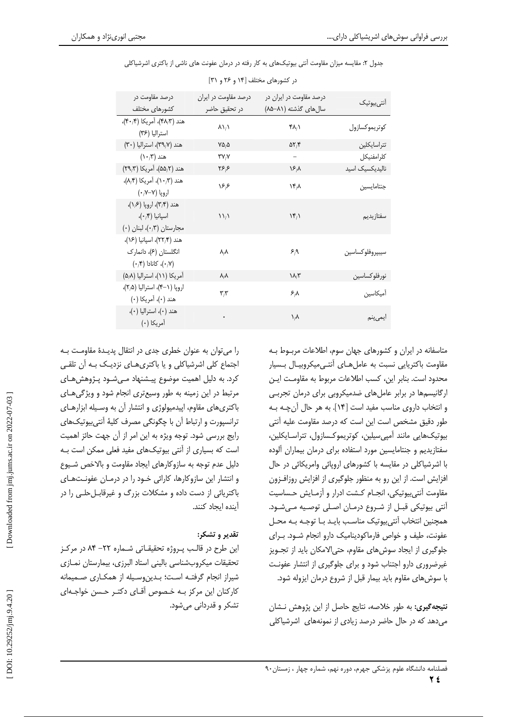|  |  |  | جدول ۲: مقایسه میزان مقاومت آنتی بیوتیکهای به کار رفته در درمان عفونت های ناشی از باکتری اشرشیاکلی |
|--|--|--|----------------------------------------------------------------------------------------------------|
|--|--|--|----------------------------------------------------------------------------------------------------|

| درصد مقاومت در                                                            | درصد مقاومت در ایران              | درصد مقاومت در ایران در       | انت <sub>ی</sub> بیوتیک |
|---------------------------------------------------------------------------|-----------------------------------|-------------------------------|-------------------------|
| كشورهاى مختلف                                                             | در تحقیق حاضر                     | سالهای گذشته (۸۱–۸۵)          |                         |
| هند (۴۸٫۳)، أمريكا (۴۰٫۴)،<br>استراليا (۳۶)                               | $\lambda \lambda/\lambda$         | ۴۸ $\lambda$                  | كوتريموكسازول           |
| هند (۳۹٫۷)، استرالیا (۳۰)                                                 | $V\Delta/\Delta$                  | $\Delta Y$                    | تتراسايكلين             |
| $(\wedge \cdot)^\omega$ هند                                               | $\mathsf{r}\mathsf{v}_\mathsf{N}$ | -                             | كلرامفنيكل              |
| هند (۵۵٫۲)، آمریکا (۲۹٫۳)                                                 | ۶۶۶                               | $\Sigma/\lambda$              | نالیدیکسیک اسید         |
| هند (۱۰٫۳)، آمريكا (۸٫۴)،<br>اروپا (۷–۰٫۷٪)                               | ۱۶۶                               | $\mathcal{N}^{\mu}$           | جنتامايسين              |
| هند (۳٫۴)، اروپا (۱٫۶)،<br>اسپانیا (۰٫۴)،<br>مجارستان (۰٫۳)، لبنان (۰)    | $\mathcal{N}_{1}$                 | $\mathcal{N}_{1}$             | سفتازيديم               |
| هند (۲۲٫۴)، اسپانیا (۱۶)،<br>انگلستان (۶)، دانمارک<br>(۰٫۷)، کانادا (۰٫۴) | ۸,۸                               | $\mathcal{F}_{/\mathfrak{A}}$ | سيبپروفلوكساسين         |
| آمريكا (١١)، استراليا (٥/٨)                                               | $\lambda/\lambda$                 | $\lambda/\tau$                | نورفلو كساسين           |
| اروپا (۱–۴)، استرالیا (۲٫۵)،<br>هند (٠)، آمريكا (٠)                       | $\mathbf{r} \times$               | $\mathcal{F}_i \Lambda$       | أميكاسين                |
| هند (۰)، استرالیا (۰)،<br>أمريكا (١٠)                                     |                                   | $\lambda/\lambda$             | ايمىپنم                 |

در کشورهای مختلف [۱۴ و ۲۶ و ۲۱]

متاسفانه در ایران و کشورهای جهان سوم، اطلاعات مربـوط بـه مقاومت باکتریایی نسبت به عاملهای آنتهیمیکروبیال بسیار محدود است. بنابر این، کسب اطلاعات مربوط به مقاومـت ایـن ارگانیسمها در برابر عاملهای ضدمیکروبی برای درمان تجربی و انتخاب داروی مناسب مفید است [۱۴]. به هر حال آن چـه بـه طور دقیق مشخص است این است که درصد مقاومت علیه آنتی بیوتیکھایی مانند آمیے سیلین، کوتریموکسازول، تتراسـایکلین، سفتازیدیم و جنتامایسین مورد استفاده برای درمان بیماران آلوده با اشرشیاکلی در مقایسه با کشورهای اروپائی وامریکائی در حال افزایش است. از این رو به منظور جلوگیری از افزایش روزافزون مقاومت آنتى بيوتيكي، انجـام كـشت ادرار و آزمـايش حـساسيت آنتی بیوتیکی قبـل از شـروع درمـان اصـلی توصـیه مـیشـود. همچنین انتخاب آنتی بیوتیک مناسب بایـد بـا توجـه بـه محـل عفونت، طیف و خواص فارماکودینامیک دارو انجام شـود. بـرای جلوگیری از ایجاد سوشهای مقاوم، حتیالامکان باید از تجـویز غیرضروری دارو اجتناب شود و برای جلوگیری از انتشار عفونت با سوشهای مقاوم باید بیمار قبل از شروع درمان ایزوله شود.

**نتیجه گیری:** به طور خلاصه، نتایج حاصل از این پژوهش نـشان می دهد که در حال حاضر درصد زیادی از نمونههای اشرشیاکلی

را می توان به عنوان خطری جدی در انتقال پدیـدهٔ مقاومـت بـه اجتماع کلی اشرشیاکلی و یا باکتری هـای نزدیـک بـه آن تلقـی کرد. به دلیل اهمیت موضوع پیـشنهاد مـی شـود پـژوهش هـای مرتبط در این زمینه به طور وسیعتری انجام شود و ویژگی های باکتریهای مقاوم، اپیدمیولوژی و انتشار آن به وسیله ابزارهـای ترانسپورت و ارتباط آن با چگونگی مصرف کلیهٔ آنتیبیوتیکهای رایج بررسی شود. توجه ویژه به این امر از آن جهت حائز اهمیت است که بسیاری از آنتی بیوتیکهای مفید فعلی ممکن است بـه دلیل عدم توجه به سازوکارهای ایجاد مقاومت و بالاخص شیوع و انتشار این سازوکارها، کارائی خود را در درمان عفونتهای باکتریائی از دست داده و مشکلات بزرگ و غیرقابـل حلـی را در آينده ايجاد كنند.

# تقدير و تشكر:

این طرح در قالب پروژه تحقیقاتی شماره ۲۲- ۸۴ در مرکز تحقيقات ميكروبشناسي باليني استاد البرزي، بيمارستان نمـازي شیراز انجام گرفتـه اسـت؛ بـدین0سـیله از همکـاری صـمیمانه کارکنان این مرکز بـه خـصوص آقـای دکتـر حـسن خواجـهای تشکر و قدردانی می شود.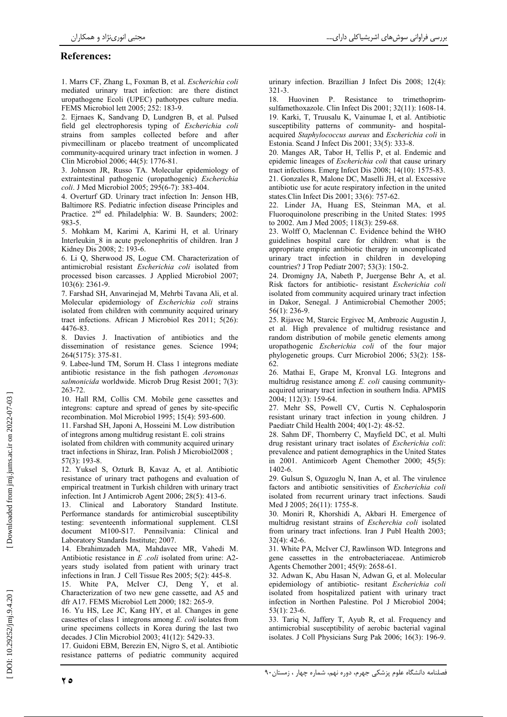### **References:**

1. Marrs CF, Zhang L, Foxman B, et al. Escherichia coli mediated urinary tract infection: are there distinct uropathogene Ecoli (UPEC) pathotypes culture media. FEMS Microbiol lett 2005; 252: 183-9.

2. Ejrnaes K, Sandvang D, Lundgren B, et al. Pulsed field gel electrophoresis typing of Escherichia coli strains from samples collected before and after piymecillinam or placebo treatment of uncomplicated community-acquired urinary tract infection in women. J Clin Microbiol 2006; 44(5): 1776-81.

3. Johnson JR, Russo TA, Molecular epidemiology of extraintestinal pathogenic (uropathogenic) Escherichia coli. J Med Microbiol 2005; 295(6-7): 383-404.

4. Overturf GD. Urinary tract infection In: Jenson HB, Baltimore RS. Pediatric infection disease Principles and Practice. 2<sup>nd</sup> ed. Philadelphia: W. B. Saunders; 2002: 983-5

5. Mohkam M, Karimi A, Karimi H, et al. Urinary Interleukin 8 in acute pyelonephritis of children. Iran J Kidney Dis 2008; 2: 193-6.

6. Li O. Sherwood JS. Logue CM. Characterization of antimicrobial resistant Escherichia coli isolated from processed bison carcasses. J Applied Microbiol 2007;  $103(6)$ : 2361-9.

7. Farshad SH, Anvarinejad M, Mehrbi Tavana Ali, et al. Molecular epidemiology of Escherichia coli strains isolated from children with community acquired urinary tract infections. African J Microbiol Res 2011; 5(26): 4476-83

8. Davies J. Inactivation of antibiotics and the dissemination of resistance genes. Science 1994; 264(5175): 375-81.

9. Labee-lund TM, Sorum H. Class 1 integrons mediate antibiotic resistance in the fish pathogen Aeromonas salmonicida worldwide. Microb Drug Resist 2001; 7(3):  $263 - 72$ 

10. Hall RM, Collis CM. Mobile gene cassettes and integrons: capture and spread of genes by site-specific recombination. Mol Microbiol 1995; 15(4): 593-600.

11. Farshad SH. Japoni A. Hosseini M. Low distribution of integrons among multidrug resistant E. coli strains isolated from children with community acquired urinary tract infections in Shiraz, Iran. Polish J Microbiol2008;  $57(3): 193-8$ 

12. Yuksel S, Ozturk B, Kavaz A, et al. Antibiotic resistance of urinary tract pathogens and evaluation of empirical treatment in Turkish children with urinary tract infection. Int J Antimicrob Agent 2006; 28(5): 413-6.

13. Clinical and Laboratory Standard Institute. Performance standards for antimicrobial susceptibility testing: seventeenth informational supplement. CLSI document M100-S17. Pennsilvania: Clinical and Laboratory Standards Institute; 2007.

14. Ebrahimzadeh MA, Mahdavee MR, Vahedi M. Antibiotic resistance in  $E$  *coli* isolated from urine: A2vears study isolated from patient with urinary tract infections in Iran. J Cell Tissue Res 2005; 5(2): 445-8.

15. White PA, McIver CJ, Deng Y, et al. Characterization of two new gene cassette, aad A5 and dfr A17. FEMS Microbiol Lett 2000; 182: 265-9.

16. Yu HS, Lee JC, Kang HY, et al. Changes in gene cassettes of class 1 integrons among  $E$ . coli isolates from urine specimens collects in Korea during the last two decades. J Clin Microbiol 2003; 41(12): 5429-33.

17. Guidoni EBM, Berezin EN, Nigro S, et al. Antibiotic resistance patterns of pediatric community acquired urinary infection. Brazillian J Infect Dis 2008; 12(4):  $321 - 3$ 

18. Huovinen P. Resistance to trimethoprimsulfamethoxazole. Clin Infect Dis 2001; 32(11): 1608-14. 19. Karki, T, Truusalu K, Vainumae I, et al. Antibiotic susceptibility patterns of community- and hospitalacquired Staphylococcus aureus and Escherichia coli in Estonia. Scand J Infect Dis 2001; 33(5): 333-8.

20. Manges AR, Tabor H, Tellis P, et al. Endemic and epidemic lineages of *Escherichia coli* that cause urinary tract infections. Emerg Infect Dis 2008; 14(10): 1575-83. 21. Gonzales R, Malone DC, Maselli JH, et al. Excessive antibiotic use for acute respiratory infection in the united states.Clin Infect Dis 2001; 33(6): 757-62.

22. Linder JA, Huang ES, Steinman MA, et al. Fluoroquinolone prescribing in the United States: 1995 to 2002. Am J Med 2005; 118(3): 259-68.

23. Wolff O, Maclennan C. Evidence behind the WHO guidelines hospital care for children: what is the appropriate empiric antibiotic therapy in uncomplicated urinary tract infection in children in developing countries? J Trop Pediatr 2007; 53(3): 150-2.

24. Dromigny JA, Nabeth P, Juergense Behr A, et al. Risk factors for antibiotic- resistant Escherichia coli isolated from community acquired urinary tract infection in Dakor, Senegal. J Antimicrobial Chemother 2005;  $56(1)$ : 236-9.

25. Rijavec M, Starcic Ergivec M, Ambrozic Augustin J, et al. High prevalence of multidrug resistance and random distribution of mobile genetic elements among uropathogenic Escherichia coli of the four major phylogenetic groups. Curr Microbiol 2006; 53(2): 158-62

26. Mathai E, Grape M, Kronval LG. Integrons and multidrug resistance among E. coli causing communityacquired urinary tract infection in southern India. APMIS 2004; 112(3): 159-64.

27. Mehr SS, Powell CV, Curtis N. Cephalosporin resistant urinary tract infection in young children. J Paediatr Child Health 2004; 40(1-2): 48-52.

28. Sahm DF, Thornberry C, Mayfield DC, et al. Multi drug resistant urinary tract isolates of Escherichia coli: prevalence and patient demographics in the United States in 2001. Antimicorb Agent Chemother 2000; 45(5):  $1402 - 6$ .

29. Gulsun S, Oguzoglu N, Inan A, et al. The virulence factors and antibiotic sensitivities of Escherichia coli isolated from recurrent urinary tract infections. Saudi Med J 2005; 26(11): 1755-8.

30. Moniri R, Khorshidi A, Akbari H. Emergence of multidrug resistant strains of Escherchia coli isolated from urinary tract infections. Iran J Publ Health 2003;  $32(4): 42-6.$ 

31. White PA, McIver CJ, Rawlinson WD. Integrons and gene cassettes in the entrobacteriaceae. Antimicrob Agents Chemother 2001: 45(9): 2658-61.

32. Adwan K, Abu Hasan N, Adwan G, et al. Molecular epidemiology of antibiotic- resitant Escherichia coli isolated from hospitalized patient with urinary tract infection in Northen Palestine. Pol J Microbiol 2004;  $53(1)$ : 23-6.

33. Tariq N, Jaffery T, Ayub R, et al. Frequency and antimicrobial susceptibility of aerobic bacterial vaginal isolates. J Coll Physicians Surg Pak 2006; 16(3): 196-9.

ه ۲